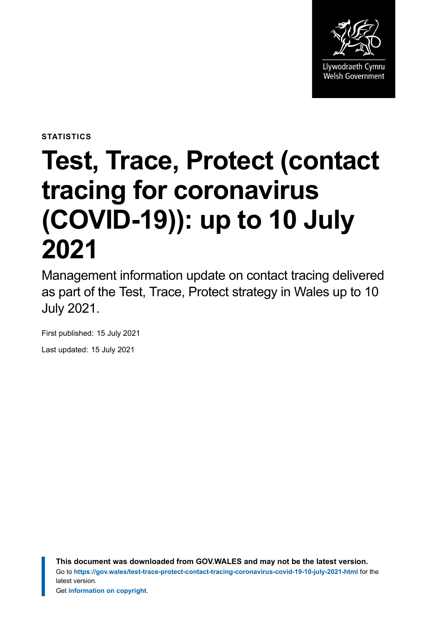

**STATISTICS**

# **Test, Trace, Protect (contact tracing for coronavirus (COVID-19)): up to 10 July 2021**

Management information update on contact tracing delivered as part of the Test, Trace, Protect strategy in Wales up to 10 July 2021.

First published: 15 July 2021

Last updated: 15 July 2021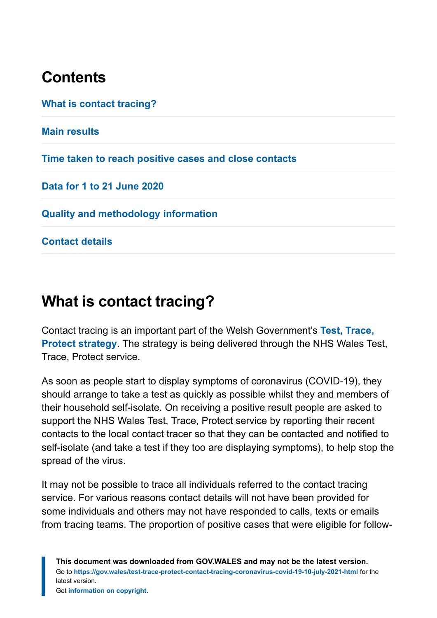# **Contents**

**[What is contact tracing?](#page-1-0) [Main results](#page-2-0) [Time taken to reach positive cases and close contacts](#page-8-0) [Data for 1 to 21 June 2020](#page-9-0) [Quality and methodology information](#page-9-1) [Contact details](#page-16-0)**

# <span id="page-1-0"></span>**What is contact tracing?**

Contact tracing is an important part of the Welsh Government's **[Test, Trace,](https://gov.wales/test-trace-protect) [Protect strategy](https://gov.wales/test-trace-protect)**. The strategy is being delivered through the NHS Wales Test, Trace, Protect service.

As soon as people start to display symptoms of coronavirus (COVID-19), they should arrange to take a test as quickly as possible whilst they and members of their household self-isolate. On receiving a positive result people are asked to support the NHS Wales Test, Trace, Protect service by reporting their recent contacts to the local contact tracer so that they can be contacted and notified to self-isolate (and take a test if they too are displaying symptoms), to help stop the spread of the virus.

It may not be possible to trace all individuals referred to the contact tracing service. For various reasons contact details will not have been provided for some individuals and others may not have responded to calls, texts or emails from tracing teams. The proportion of positive cases that were eligible for follow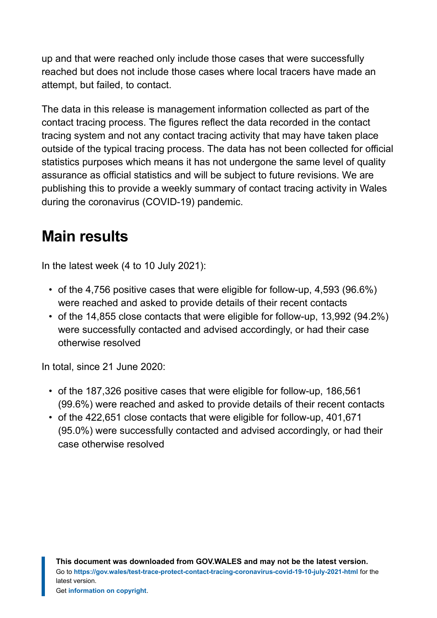up and that were reached only include those cases that were successfully reached but does not include those cases where local tracers have made an attempt, but failed, to contact.

The data in this release is management information collected as part of the contact tracing process. The figures reflect the data recorded in the contact tracing system and not any contact tracing activity that may have taken place outside of the typical tracing process. The data has not been collected for official statistics purposes which means it has not undergone the same level of quality assurance as official statistics and will be subject to future revisions. We are publishing this to provide a weekly summary of contact tracing activity in Wales during the coronavirus (COVID-19) pandemic.

# <span id="page-2-0"></span>**Main results**

In the latest week (4 to 10 July 2021):

- of the 4,756 positive cases that were eligible for follow-up, 4,593 (96.6%) were reached and asked to provide details of their recent contacts
- of the 14,855 close contacts that were eligible for follow-up, 13,992 (94.2%) were successfully contacted and advised accordingly, or had their case otherwise resolved

In total, since 21 June 2020:

- of the 187,326 positive cases that were eligible for follow-up, 186,561 (99.6%) were reached and asked to provide details of their recent contacts
- of the 422,651 close contacts that were eligible for follow-up, 401,671 (95.0%) were successfully contacted and advised accordingly, or had their case otherwise resolved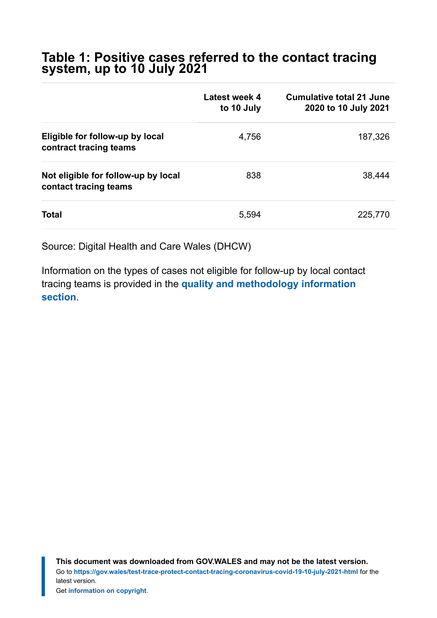#### **Table 1: Positive cases referred to the contact tracing system, up to 10 July 2021**

|                                                              | Latest week 4<br>to 10 July | <b>Cumulative total 21 June</b><br>2020 to 10 July 2021 |
|--------------------------------------------------------------|-----------------------------|---------------------------------------------------------|
| Eligible for follow-up by local<br>contract tracing teams    | 4,756                       | 187,326                                                 |
| Not eligible for follow-up by local<br>contact tracing teams | 838                         | 38,444                                                  |
| Total                                                        | 5,594                       | 225,770                                                 |

Source: Digital Health and Care Wales (DHCW)

Information on the types of cases not eligible for follow-up by local contact tracing teams is provided in the **[quality and methodology information](https://gov.wales/test-trace-protect-contact-tracing-coronavirus-covid-19-10-july-2021-html#section-75120) [section](https://gov.wales/test-trace-protect-contact-tracing-coronavirus-covid-19-10-july-2021-html#section-75120)**.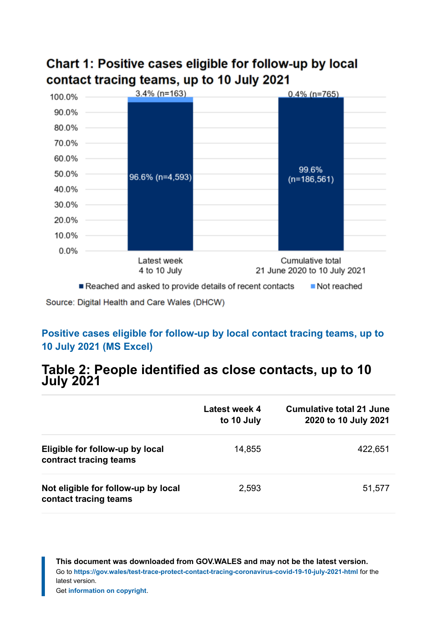

### Chart 1: Positive cases eligible for follow-up by local contact tracing teams, up to 10 July 2021

Source: Digital Health and Care Wales (DHCW)

#### **[Positive cases eligible for follow-up by local contact tracing teams, up to](https://gov.wales/sites/default/files/statistics-and-research/2021-07/test-trace-protect-contact-tracing-for-coronavirus-covid-19-up-to-10-july-2021-520.ods) [10 July 2021 \(MS Excel\)](https://gov.wales/sites/default/files/statistics-and-research/2021-07/test-trace-protect-contact-tracing-for-coronavirus-covid-19-up-to-10-july-2021-520.ods)**

#### **Table 2: People identified as close contacts, up to 10 July 2021**

|                                                              | Latest week 4<br>to 10 July | <b>Cumulative total 21 June</b><br>2020 to 10 July 2021 |
|--------------------------------------------------------------|-----------------------------|---------------------------------------------------------|
| Eligible for follow-up by local<br>contract tracing teams    | 14,855                      | 422,651                                                 |
| Not eligible for follow-up by local<br>contact tracing teams | 2,593                       | 51,577                                                  |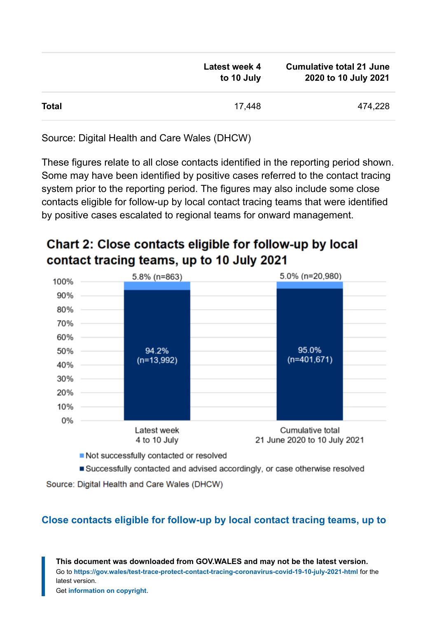|              | Latest week 4<br>to 10 July | <b>Cumulative total 21 June</b><br>2020 to 10 July 2021 |
|--------------|-----------------------------|---------------------------------------------------------|
| <b>Total</b> | 17,448                      | 474,228                                                 |

Source: Digital Health and Care Wales (DHCW)

These figures relate to all close contacts identified in the reporting period shown. Some may have been identified by positive cases referred to the contact tracing system prior to the reporting period. The figures may also include some close contacts eligible for follow-up by local contact tracing teams that were identified by positive cases escalated to regional teams for onward management.

### Chart 2: Close contacts eligible for follow-up by local contact tracing teams, up to 10 July 2021



Not successfully contacted or resolved

Successfully contacted and advised accordingly, or case otherwise resolved

Source: Digital Health and Care Wales (DHCW)

#### **[Close contacts eligible for follow-up by local contact tracing teams, up to](https://gov.wales/sites/default/files/statistics-and-research/2021-07/test-trace-protect-contact-tracing-for-coronavirus-covid-19-up-to-10-july-2021-520.ods)**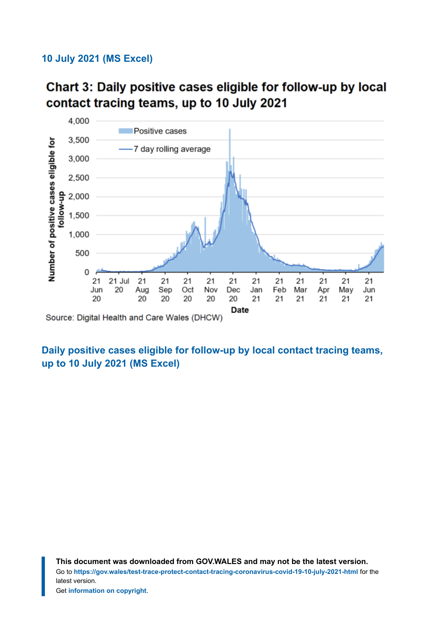#### **[10 July 2021 \(MS Excel\)](https://gov.wales/sites/default/files/statistics-and-research/2021-07/test-trace-protect-contact-tracing-for-coronavirus-covid-19-up-to-10-july-2021-520.ods)**





#### **[Daily positive cases eligible for follow-up by local contact tracing teams,](https://gov.wales/sites/default/files/statistics-and-research/2021-07/test-trace-protect-contact-tracing-for-coronavirus-covid-19-up-to-10-july-2021-520.ods) [up to 10 July 2021 \(MS Excel\)](https://gov.wales/sites/default/files/statistics-and-research/2021-07/test-trace-protect-contact-tracing-for-coronavirus-covid-19-up-to-10-july-2021-520.ods)**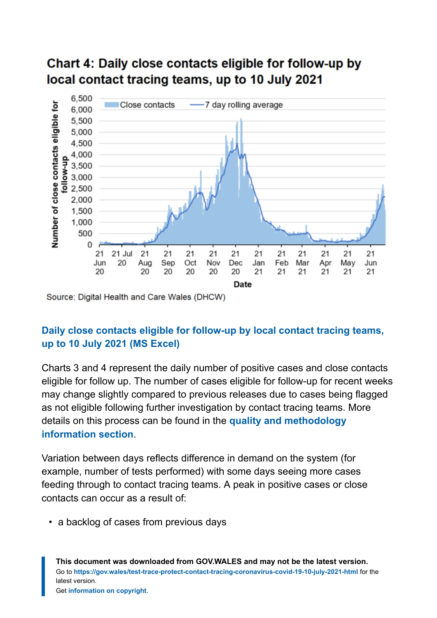### Chart 4: Daily close contacts eligible for follow-up by local contact tracing teams, up to 10 July 2021



Source: Digital Health and Care Wales (DHCW)

#### **[Daily close contacts eligible for follow-up by local contact tracing teams,](https://gov.wales/sites/default/files/statistics-and-research/2021-07/test-trace-protect-contact-tracing-for-coronavirus-covid-19-up-to-10-july-2021-520.ods) [up to 10 July 2021](https://gov.wales/sites/default/files/statistics-and-research/2021-07/test-trace-protect-contact-tracing-for-coronavirus-covid-19-up-to-10-july-2021-520.ods) (MS Excel)**

Charts 3 and 4 represent the daily number of positive cases and close contacts eligible for follow up. The number of cases eligible for follow-up for recent weeks may change slightly compared to previous releases due to cases being flagged as not eligible following further investigation by contact tracing teams. More details on this process can be found in the **[quality and methodology](https://gov.wales/test-trace-protect-contact-tracing-coronavirus-covid-19-10-july-2021-html#section-75120) [information](https://gov.wales/test-trace-protect-contact-tracing-coronavirus-covid-19-10-july-2021-html#section-75120) section**.

Variation between days reflects difference in demand on the system (for example, number of tests performed) with some days seeing more cases feeding through to contact tracing teams. A peak in positive cases or close contacts can occur as a result of:

• a backlog of cases from previous days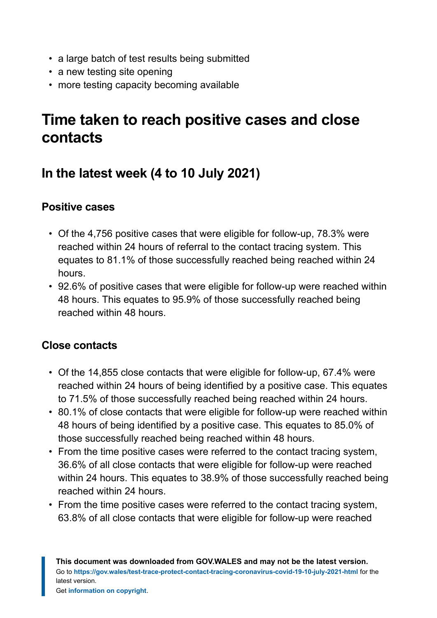- a large batch of test results being submitted
- a new testing site opening
- more testing capacity becoming available

# <span id="page-8-0"></span>**Time taken to reach positive cases and close contacts**

# **In the latest week (4 to 10 July 2021)**

#### **Positive cases**

- Of the 4,756 positive cases that were eligible for follow-up, 78.3% were reached within 24 hours of referral to the contact tracing system. This equates to 81.1% of those successfully reached being reached within 24 hours.
- 92.6% of positive cases that were eligible for follow-up were reached within 48 hours. This equates to 95.9% of those successfully reached being reached within 48 hours.

#### **Close contacts**

- Of the 14,855 close contacts that were eligible for follow-up, 67.4% were reached within 24 hours of being identified by a positive case. This equates to 71.5% of those successfully reached being reached within 24 hours.
- 80.1% of close contacts that were eligible for follow-up were reached within 48 hours of being identified by a positive case. This equates to 85.0% of those successfully reached being reached within 48 hours.
- From the time positive cases were referred to the contact tracing system, 36.6% of all close contacts that were eligible for follow-up were reached within 24 hours. This equates to 38.9% of those successfully reached being reached within 24 hours.
- From the time positive cases were referred to the contact tracing system, 63.8% of all close contacts that were eligible for follow-up were reached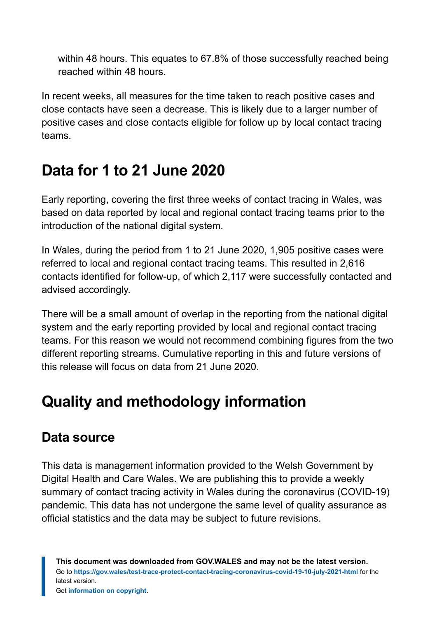within 48 hours. This equates to 67.8% of those successfully reached being reached within 48 hours.

In recent weeks, all measures for the time taken to reach positive cases and close contacts have seen a decrease. This is likely due to a larger number of positive cases and close contacts eligible for follow up by local contact tracing teams.

# <span id="page-9-0"></span>**Data for 1 to 21 June 2020**

Early reporting, covering the first three weeks of contact tracing in Wales, was based on data reported by local and regional contact tracing teams prior to the introduction of the national digital system.

In Wales, during the period from 1 to 21 June 2020, 1,905 positive cases were referred to local and regional contact tracing teams. This resulted in 2,616 contacts identified for follow-up, of which 2,117 were successfully contacted and advised accordingly.

There will be a small amount of overlap in the reporting from the national digital system and the early reporting provided by local and regional contact tracing teams. For this reason we would not recommend combining figures from the two different reporting streams. Cumulative reporting in this and future versions of this release will focus on data from 21 June 2020.

# <span id="page-9-1"></span>**Quality and methodology information**

# **Data source**

This data is management information provided to the Welsh Government by Digital Health and Care Wales. We are publishing this to provide a weekly summary of contact tracing activity in Wales during the coronavirus (COVID-19) pandemic. This data has not undergone the same level of quality assurance as official statistics and the data may be subject to future revisions.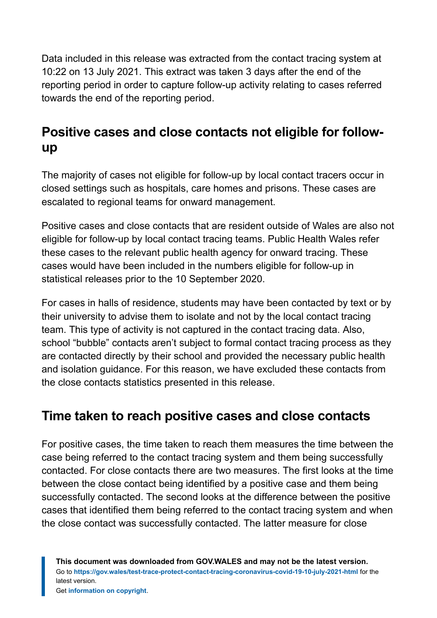Data included in this release was extracted from the contact tracing system at 10:22 on 13 July 2021. This extract was taken 3 days after the end of the reporting period in order to capture follow-up activity relating to cases referred towards the end of the reporting period.

# **Positive cases and close contacts not eligible for followup**

The majority of cases not eligible for follow-up by local contact tracers occur in closed settings such as hospitals, care homes and prisons. These cases are escalated to regional teams for onward management.

Positive cases and close contacts that are resident outside of Wales are also not eligible for follow-up by local contact tracing teams. Public Health Wales refer these cases to the relevant public health agency for onward tracing. These cases would have been included in the numbers eligible for follow-up in statistical releases prior to the 10 September 2020.

For cases in halls of residence, students may have been contacted by text or by their university to advise them to isolate and not by the local contact tracing team. This type of activity is not captured in the contact tracing data. Also, school "bubble" contacts aren't subject to formal contact tracing process as they are contacted directly by their school and provided the necessary public health and isolation guidance. For this reason, we have excluded these contacts from the close contacts statistics presented in this release.

### **Time taken to reach positive cases and close contacts**

For positive cases, the time taken to reach them measures the time between the case being referred to the contact tracing system and them being successfully contacted. For close contacts there are two measures. The first looks at the time between the close contact being identified by a positive case and them being successfully contacted. The second looks at the difference between the positive cases that identified them being referred to the contact tracing system and when the close contact was successfully contacted. The latter measure for close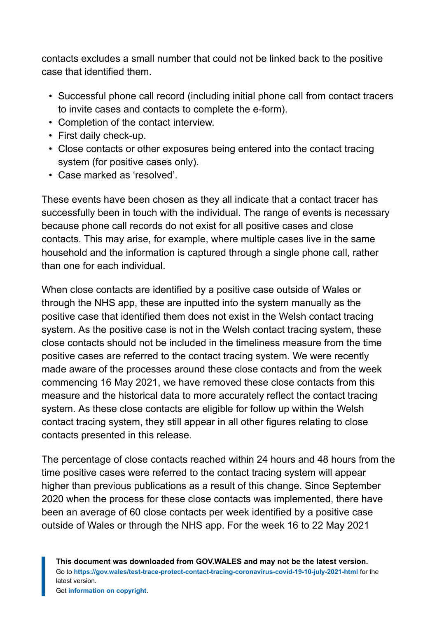contacts excludes a small number that could not be linked back to the positive case that identified them.

- Successful phone call record (including initial phone call from contact tracers to invite cases and contacts to complete the e-form).
- Completion of the contact interview.
- First daily check-up.
- Close contacts or other exposures being entered into the contact tracing system (for positive cases only).
- Case marked as 'resolved'.

These events have been chosen as they all indicate that a contact tracer has successfully been in touch with the individual. The range of events is necessary because phone call records do not exist for all positive cases and close contacts. This may arise, for example, where multiple cases live in the same household and the information is captured through a single phone call, rather than one for each individual.

When close contacts are identified by a positive case outside of Wales or through the NHS app, these are inputted into the system manually as the positive case that identified them does not exist in the Welsh contact tracing system. As the positive case is not in the Welsh contact tracing system, these close contacts should not be included in the timeliness measure from the time positive cases are referred to the contact tracing system. We were recently made aware of the processes around these close contacts and from the week commencing 16 May 2021, we have removed these close contacts from this measure and the historical data to more accurately reflect the contact tracing system. As these close contacts are eligible for follow up within the Welsh contact tracing system, they still appear in all other figures relating to close contacts presented in this release.

The percentage of close contacts reached within 24 hours and 48 hours from the time positive cases were referred to the contact tracing system will appear higher than previous publications as a result of this change. Since September 2020 when the process for these close contacts was implemented, there have been an average of 60 close contacts per week identified by a positive case outside of Wales or through the NHS app. For the week 16 to 22 May 2021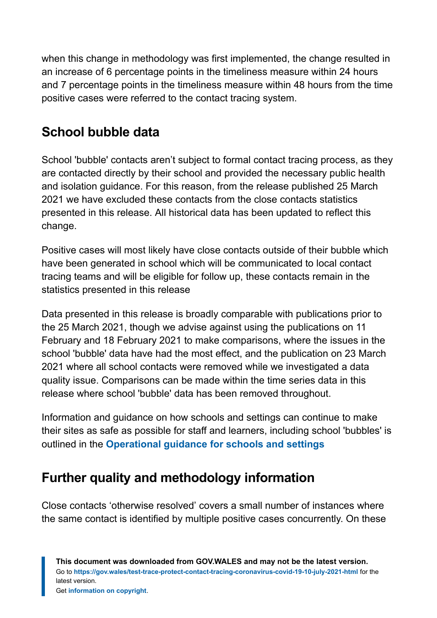when this change in methodology was first implemented, the change resulted in an increase of 6 percentage points in the timeliness measure within 24 hours and 7 percentage points in the timeliness measure within 48 hours from the time positive cases were referred to the contact tracing system.

# **School bubble data**

School 'bubble' contacts aren't subject to formal contact tracing process, as they are contacted directly by their school and provided the necessary public health and isolation guidance. For this reason, from the release published 25 March 2021 we have excluded these contacts from the close contacts statistics presented in this release. All historical data has been updated to reflect this change.

Positive cases will most likely have close contacts outside of their bubble which have been generated in school which will be communicated to local contact tracing teams and will be eligible for follow up, these contacts remain in the statistics presented in this release

Data presented in this release is broadly comparable with publications prior to the 25 March 2021, though we advise against using the publications on 11 February and 18 February 2021 to make comparisons, where the issues in the school 'bubble' data have had the most effect, and the publication on 23 March 2021 where all school contacts were removed while we investigated a data quality issue. Comparisons can be made within the time series data in this release where school 'bubble' data has been removed throughout.

Information and guidance on how schools and settings can continue to make their sites as safe as possible for staff and learners, including school 'bubbles' is outlined in the **[Operational guidance for schools and settings](https://gov.wales/operational-guidance-schools-and-settings-until-31-august-2021-html)**

# **Further quality and methodology information**

Close contacts 'otherwise resolved' covers a small number of instances where the same contact is identified by multiple positive cases concurrently. On these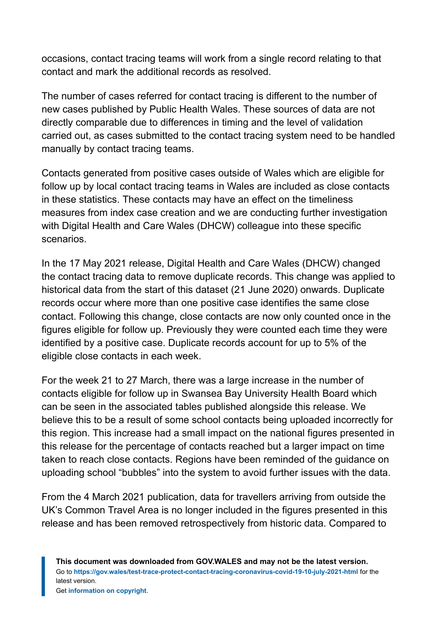occasions, contact tracing teams will work from a single record relating to that contact and mark the additional records as resolved.

The number of cases referred for contact tracing is different to the number of new cases published by Public Health Wales. These sources of data are not directly comparable due to differences in timing and the level of validation carried out, as cases submitted to the contact tracing system need to be handled manually by contact tracing teams.

Contacts generated from positive cases outside of Wales which are eligible for follow up by local contact tracing teams in Wales are included as close contacts in these statistics. These contacts may have an effect on the timeliness measures from index case creation and we are conducting further investigation with Digital Health and Care Wales (DHCW) colleague into these specific scenarios.

In the 17 May 2021 release, Digital Health and Care Wales (DHCW) changed the contact tracing data to remove duplicate records. This change was applied to historical data from the start of this dataset (21 June 2020) onwards. Duplicate records occur where more than one positive case identifies the same close contact. Following this change, close contacts are now only counted once in the figures eligible for follow up. Previously they were counted each time they were identified by a positive case. Duplicate records account for up to 5% of the eligible close contacts in each week.

For the week 21 to 27 March, there was a large increase in the number of contacts eligible for follow up in Swansea Bay University Health Board which can be seen in the associated tables published alongside this release. We believe this to be a result of some school contacts being uploaded incorrectly for this region. This increase had a small impact on the national figures presented in this release for the percentage of contacts reached but a larger impact on time taken to reach close contacts. Regions have been reminded of the guidance on uploading school "bubbles" into the system to avoid further issues with the data.

From the 4 March 2021 publication, data for travellers arriving from outside the UK's Common Travel Area is no longer included in the figures presented in this release and has been removed retrospectively from historic data. Compared to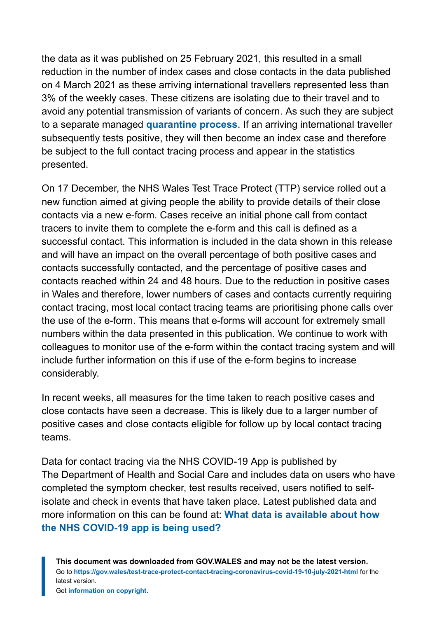the data as it was published on 25 February 2021, this resulted in a small reduction in the number of index cases and close contacts in the data published on 4 March 2021 as these arriving international travellers represented less than 3% of the weekly cases. These citizens are isolating due to their travel and to avoid any potential transmission of variants of concern. As such they are subject to a separate managed **[quarantine process](https://gov.wales/how-isolate-when-you-travel-wales-coronavirus-covid-19)**. If an arriving international traveller subsequently tests positive, they will then become an index case and therefore be subject to the full contact tracing process and appear in the statistics presented.

On 17 December, the NHS Wales Test Trace Protect (TTP) service rolled out a new function aimed at giving people the ability to provide details of their close contacts via a new e-form. Cases receive an initial phone call from contact tracers to invite them to complete the e-form and this call is defined as a successful contact. This information is included in the data shown in this release and will have an impact on the overall percentage of both positive cases and contacts successfully contacted, and the percentage of positive cases and contacts reached within 24 and 48 hours. Due to the reduction in positive cases in Wales and therefore, lower numbers of cases and contacts currently requiring contact tracing, most local contact tracing teams are prioritising phone calls over the use of the e-form. This means that e-forms will account for extremely small numbers within the data presented in this publication. We continue to work with colleagues to monitor use of the e-form within the contact tracing system and will include further information on this if use of the e-form begins to increase considerably.

In recent weeks, all measures for the time taken to reach positive cases and close contacts have seen a decrease. This is likely due to a larger number of positive cases and close contacts eligible for follow up by local contact tracing teams.

Data for contact tracing via the NHS COVID-19 App is published by The Department of Health and Social Care and includes data on users who have completed the symptom checker, test results received, users notified to selfisolate and check in events that have taken place. Latest published data and more information on this can be found at: **[What data is available about how](https://faq.covid19.nhs.uk/article/KA-01367) [the NHS COVID-19 app is being used?](https://faq.covid19.nhs.uk/article/KA-01367)**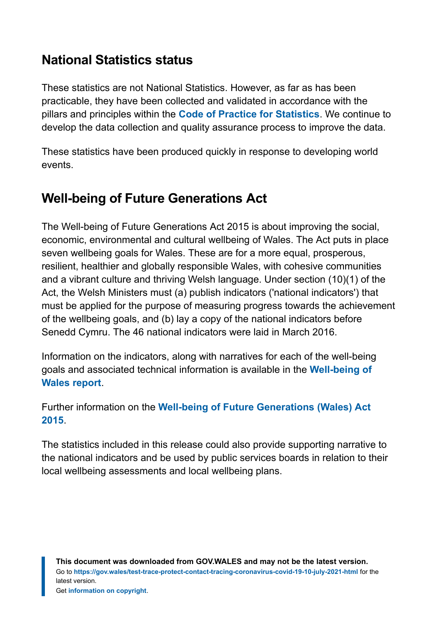## **National Statistics status**

These statistics are not National Statistics. However, as far as has been practicable, they have been collected and validated in accordance with the pillars and principles within the **[Code of Practice for Statistics](https://code.statisticsauthority.gov.uk/)**. We continue to develop the data collection and quality assurance process to improve the data.

These statistics have been produced quickly in response to developing world events.

# **Well-being of Future Generations Act**

The Well-being of Future Generations Act 2015 is about improving the social, economic, environmental and cultural wellbeing of Wales. The Act puts in place seven wellbeing goals for Wales. These are for a more equal, prosperous, resilient, healthier and globally responsible Wales, with cohesive communities and a vibrant culture and thriving Welsh language. Under section (10)(1) of the Act, the Welsh Ministers must (a) publish indicators ('national indicators') that must be applied for the purpose of measuring progress towards the achievement of the wellbeing goals, and (b) lay a copy of the national indicators before Senedd Cymru. The 46 national indicators were laid in March 2016.

Information on the indicators, along with narratives for each of the well-being goals and associated technical information is available in the **[Well-being of](https://gov.wales/wellbeing-wales) [Wales report](https://gov.wales/wellbeing-wales)**.

Further information on the **[Well-being of Future Generations \(Wales\) Act](https://gov.wales/well-being-future-generations-wales-act-2015-guidance) [2015](https://gov.wales/well-being-future-generations-wales-act-2015-guidance)**.

The statistics included in this release could also provide supporting narrative to the national indicators and be used by public services boards in relation to their local wellbeing assessments and local wellbeing plans.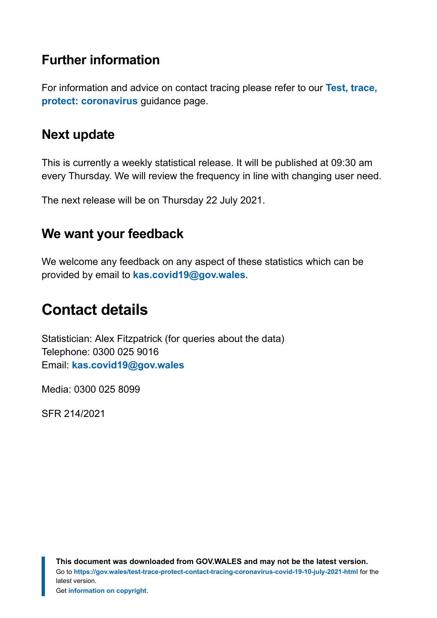### **Further information**

For information and advice on contact tracing please refer to our **[Test, trace,](https://gov.wales/test-trace-protect-coronavirus) [protect: coronavirus](https://gov.wales/test-trace-protect-coronavirus)** guidance page.

### **Next update**

This is currently a weekly statistical release. It will be published at 09:30 am every Thursday. We will review the frequency in line with changing user need.

The next release will be on Thursday 22 July 2021.

### **We want your feedback**

We welcome any feedback on any aspect of these statistics which can be provided by email to **[kas.covid19@gov.wales](mailto:KAS.COVID19@gov.wales)**.

# <span id="page-16-0"></span>**Contact details**

Statistician: Alex Fitzpatrick (for queries about the data) Telephone: 0300 025 9016 Email: **[kas.covid19@gov.wales](mailto:kas.covid19@gov.wales)**

Media: 0300 025 8099

SFR 214/2021